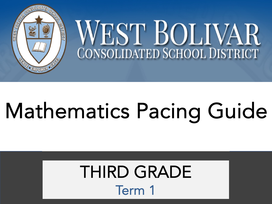

# Mathematics Pacing Guide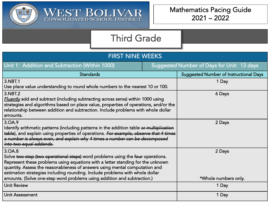

| <b>FIRST NINE WEEKS</b>                                                                                                                                                                                                                                                                                                                                                                                                |  |                                               |  |
|------------------------------------------------------------------------------------------------------------------------------------------------------------------------------------------------------------------------------------------------------------------------------------------------------------------------------------------------------------------------------------------------------------------------|--|-----------------------------------------------|--|
| Unit 1: Addition and Subtraction (Within 1000)                                                                                                                                                                                                                                                                                                                                                                         |  | Suggested Number of Days for Unit: 13 days    |  |
| <b>Standards</b>                                                                                                                                                                                                                                                                                                                                                                                                       |  | <b>Suggested Number of Instructional Days</b> |  |
| 3.NBT.1<br>Use place value understanding to round whole numbers to the nearest 10 or 100.                                                                                                                                                                                                                                                                                                                              |  | 1 Day                                         |  |
| 3.NBT.2<br><b>Fluently</b> add and subtract (including subtracting across zeros) within 1000 using<br>strategies and algorithms based on place value, properties of operations, and/or the<br>relationship between addition and subtraction. Include problems with whole dollar<br>amounts.                                                                                                                            |  | 6 Days                                        |  |
| 3.OA.9<br>Identify arithmetic patterns (including patterns in the addition table or multiplication<br>table), and explain using properties of operations. For example, observe that 4 times<br>a number is always even, and explain why 4 times a number can be decomposed<br>into two equal addends.                                                                                                                  |  | 2 Days                                        |  |
| 3.OA.8<br>Solve two-step (two operational steps) word problems using the four operations.<br>Represent these problems using equations with a letter standing for the unknown<br>quantity. Assess the reasonableness of answers using mental computation and<br>estimation strategies including rounding. Include problems with whole dollar<br>amounts. (Solve one-step word problems using addition and subtraction.) |  | 2 Days<br>*Whole numbers only.                |  |
| <b>Unit Review</b>                                                                                                                                                                                                                                                                                                                                                                                                     |  | 1 Day                                         |  |
| Unit Assessment                                                                                                                                                                                                                                                                                                                                                                                                        |  | 1 Day                                         |  |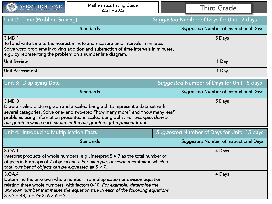| WEST BOLIVAR<br>$\frac{1}{2}$                                                                                                                                                                                                                     | <b>Mathematics Pacing Guide</b><br>$2021 - 2022$ |                                           | <b>Third Grade</b>                               |
|---------------------------------------------------------------------------------------------------------------------------------------------------------------------------------------------------------------------------------------------------|--------------------------------------------------|-------------------------------------------|--------------------------------------------------|
| Unit 2: Time (Problem Solving)                                                                                                                                                                                                                    |                                                  |                                           | <b>Suggested Number of Days for Unit: 7 days</b> |
|                                                                                                                                                                                                                                                   | <b>Standards</b>                                 |                                           | <b>Suggested Number of Instructional Days</b>    |
| 3.MD.1<br>Tell and write time to the nearest minute and measure time intervals in minutes.<br>Solve word problems involving addition and subtraction of time intervals in minutes,<br>e.g., by representing the problem on a number line diagram. |                                                  | 5 Days                                    |                                                  |
| Unit Review                                                                                                                                                                                                                                       |                                                  | 1 Day                                     |                                                  |
| <b>Unit Assessment</b>                                                                                                                                                                                                                            |                                                  | 1 Day                                     |                                                  |
| Unit 3: Displaying Data                                                                                                                                                                                                                           |                                                  | Suggested Number of Days for Unit: 5 days |                                                  |
|                                                                                                                                                                                                                                                   | <b>Standards</b>                                 |                                           | <b>Suggested Number of Instructional Days</b>    |

| 3.MD.3                                                                          | 5 Days |
|---------------------------------------------------------------------------------|--------|
| Draw a scaled picture graph and a scaled bar graph to represent a data set with |        |
| several categories. Solve one- and two-step "how many more" and "how many less" |        |
| problems using information presented in scaled bar graphs. For example, draw a  |        |
| bar graph in which each square in the bar graph might represent 5 pets.         |        |

| Unit 4: Introducing Multiplication Facts                                                                                                                                                                                                                                                                    |  | Suggested Number of Days for Unit: 15 days    |
|-------------------------------------------------------------------------------------------------------------------------------------------------------------------------------------------------------------------------------------------------------------------------------------------------------------|--|-----------------------------------------------|
| <b>Standards</b>                                                                                                                                                                                                                                                                                            |  | <b>Suggested Number of Instructional Days</b> |
| 3.OA.1<br>Interpret products of whole numbers, e.g., interpret $5 \times 7$ as the total number of<br>objects in 5 groups of 7 objects each. For example, describe a context in which a<br>total number of objects can be expressed as $5 \times 7$ .                                                       |  | 4 Days                                        |
| 3.OA.4<br>Determine the unknown whole number in a multiplication or division equation<br>relating three whole numbers, with factors 0-10. For example, determine the<br>unknown number that makes the equation true in each of the following equations<br>$8 \times ? = 48, 5 = ? \div 3, 6 \times 6 = ?$ . |  | 4 Days                                        |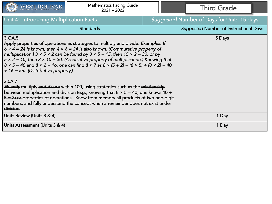

| Unit 4: Introducing Multiplication Facts                                                                                                                                                                                                                                                                                                                                                                                                                                                                                                                                                                                                                                                                                                                                                                                                                                                   | Suggested Number of Days for Unit: 15 days    |
|--------------------------------------------------------------------------------------------------------------------------------------------------------------------------------------------------------------------------------------------------------------------------------------------------------------------------------------------------------------------------------------------------------------------------------------------------------------------------------------------------------------------------------------------------------------------------------------------------------------------------------------------------------------------------------------------------------------------------------------------------------------------------------------------------------------------------------------------------------------------------------------------|-----------------------------------------------|
| <b>Standards</b>                                                                                                                                                                                                                                                                                                                                                                                                                                                                                                                                                                                                                                                                                                                                                                                                                                                                           | <b>Suggested Number of Instructional Days</b> |
| 3.OA.5<br>Apply properties of operations as strategies to multiply and divide. Examples: If<br>$6 \times 4 = 24$ is known, then $4 \times 6 = 24$ is also known. (Commutative property of<br>multiplication.) $3 \times 5 \times 2$ can be found by $3 \times 5 = 15$ , then $15 \times 2 = 30$ , or by<br>$5 \times 2 = 10$ , then $3 \times 10 = 30$ . (Associative property of multiplication.) Knowing that<br>$8 \times 5 = 40$ and $8 \times 2 = 16$ , one can find $8 \times 7$ as $8 \times (5 + 2) = (8 \times 5) + (8 \times 2) = 40$<br>$+16 = 56.$ (Distributive property.)<br>3.0A.7<br><b>Fluently</b> multiply and divide within 100, using strategies such as the relationship<br>between multiplication and division (e.g., knowing that $8 \times 5 = 40$ , one knows $40 \div$<br>$5 - 8$ ) or properties of operations. Know from memory all products of two one-digit | 5 Days                                        |
| numbers; and fully understand the concept when a remainder does not exist under<br>division.                                                                                                                                                                                                                                                                                                                                                                                                                                                                                                                                                                                                                                                                                                                                                                                               |                                               |
| Units Review (Units 3 & 4)                                                                                                                                                                                                                                                                                                                                                                                                                                                                                                                                                                                                                                                                                                                                                                                                                                                                 | 1 Day                                         |
| Units Assessment (Units 3 & 4)                                                                                                                                                                                                                                                                                                                                                                                                                                                                                                                                                                                                                                                                                                                                                                                                                                                             | 1 Day                                         |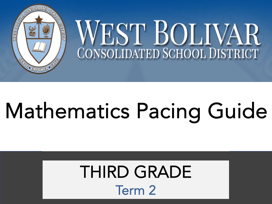

# Mathematics Pacing Guide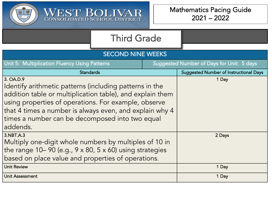

| <b>SECOND NINE WEEKS</b>                                                  |  |                                           |  |  |
|---------------------------------------------------------------------------|--|-------------------------------------------|--|--|
|                                                                           |  |                                           |  |  |
| Unit 5: Multiplication Fluency Using Patterns                             |  | Suggested Number of Days for Unit: 5 days |  |  |
| <b>Standards</b>                                                          |  | Suggested Number of Instructional Days    |  |  |
| 3. OA.D.9                                                                 |  | 1 Day                                     |  |  |
| Identify arithmetic patterns (including patterns in the                   |  |                                           |  |  |
| addition table or multiplication table), and explain them                 |  |                                           |  |  |
| using properties of operations. For example, observe                      |  |                                           |  |  |
| that 4 times a number is always even, and explain why 4                   |  |                                           |  |  |
| times a number can be decomposed into two equal                           |  |                                           |  |  |
| addends.                                                                  |  |                                           |  |  |
| 3.NBT.A.3                                                                 |  | 2 Days                                    |  |  |
| Multiply one-digit whole numbers by multiples of 10 in                    |  |                                           |  |  |
| the range $10-90$ (e.g., $9 \times 80$ , $5 \times 60$ ) using strategies |  |                                           |  |  |
|                                                                           |  |                                           |  |  |
| based on place value and properties of operations.                        |  |                                           |  |  |
| <b>Unit Review</b>                                                        |  | 1 Day                                     |  |  |
| <b>Unit Assessment</b>                                                    |  | 1 Day                                     |  |  |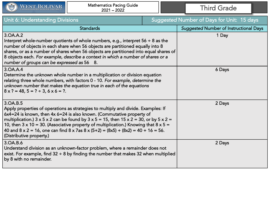

| Unit 6: Understanding Divisions                                                                                                                                                                                                                                                                                                                                                                                                                                                                                                                                    |  | <b>Suggested Number of Days for Unit: 15 days</b> |
|--------------------------------------------------------------------------------------------------------------------------------------------------------------------------------------------------------------------------------------------------------------------------------------------------------------------------------------------------------------------------------------------------------------------------------------------------------------------------------------------------------------------------------------------------------------------|--|---------------------------------------------------|
| <b>Standards</b>                                                                                                                                                                                                                                                                                                                                                                                                                                                                                                                                                   |  | <b>Suggested Number of Instructional Days</b>     |
| 3. OA. A. 2<br>Interpret whole-number quotients of whole numbers, e.g., interpret $56 \div 8$ as the<br>number of objects in each share when 56 objects are partitioned equally into 8<br>shares, or as a number of shares when 56 objects are partitioned into equal shares of<br>8 objects each. For example, describe a context in which a number of shares or a<br>number of groups can be expressed as 56 8.                                                                                                                                                  |  | 1 Day                                             |
| 3. OA.A.4<br>Determine the unknown whole number in a multiplication or division equation<br>relating three whole numbers, with factors 0 - 10. For example, determine the<br>unknown number that makes the equation true in each of the equations<br>$8 \times ? = 48, 5 = ? \div 3, 6 \times 6 = ?$ .                                                                                                                                                                                                                                                             |  | 6 Days                                            |
| 3. OA.B.5<br>Apply properties of operations as strategies to multiply and divide. Examples: If<br>6x4=24 is known, then 4x 6=24 is also known. (Commutative property of<br>multiplication.) $3 \times 5 \times 2$ can be found by $3 \times 5 = 15$ , then $15 \times 2 = 30$ , or by $5 \times 2 =$<br>10, then $3 \times 10 = 30$ . (Associative property of multiplication.) Knowing that $8 \times 5 =$<br>40 and $8 \times 2 = 16$ , one can find $8 \times 7$ as $8 \times (5+2) = (8 \times 5) + (8 \times 2) = 40 + 16 = 56$ .<br>(Distributive property.) |  | 2 Days                                            |
| 3. OA. B. 6<br>Understand division as an unknown-factor problem, where a remainder does not<br>exist. For example, find $32 \div 8$ by finding the number that makes 32 when multiplied<br>by 8 with no remainder.                                                                                                                                                                                                                                                                                                                                                 |  | 2 Days                                            |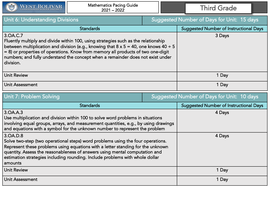

| <b>Unit 6: Understanding Divisions</b>                                                                                                                                                                                                                                                                                                                                                  | Suggested Number of Days for Unit: 15 days    |
|-----------------------------------------------------------------------------------------------------------------------------------------------------------------------------------------------------------------------------------------------------------------------------------------------------------------------------------------------------------------------------------------|-----------------------------------------------|
| <b>Standards</b>                                                                                                                                                                                                                                                                                                                                                                        | <b>Suggested Number of Instructional Days</b> |
| 3.OA.C.7<br>Fluently multiply and divide within 100, using strategies such as the relationship<br>between multiplication and division (e.g., knowing that $8 \times 5 = 40$ , one knows $40 \div 5$<br>= 8) or properties of operations. Know from memory all products of two one-digit<br>numbers; and fully understand the concept when a remainder does not exist under<br>division. | 3 Days                                        |
| <b>Unit Review</b>                                                                                                                                                                                                                                                                                                                                                                      | 1 Day                                         |
| Unit Assessment                                                                                                                                                                                                                                                                                                                                                                         | 1 Day                                         |

| Unit 7: Problem Solving                                                                                                                                                                                                                                                                                                                                  |  | <b>Suggested Number of Days for Unit: 10 days</b> |
|----------------------------------------------------------------------------------------------------------------------------------------------------------------------------------------------------------------------------------------------------------------------------------------------------------------------------------------------------------|--|---------------------------------------------------|
| <b>Standards</b>                                                                                                                                                                                                                                                                                                                                         |  | <b>Suggested Number of Instructional Days</b>     |
| 3. OA.A. 3<br>Use multiplication and division within 100 to solve word problems in situations<br>involving equal groups, arrays, and measurement quantities, e.g., by using drawings<br>and equations with a symbol for the unknown number to represent the problem                                                                                      |  | 4 Days                                            |
| 3.0A.D.8<br>Solve two-step (two operational steps) word problems using the four operations.<br>Represent these problems using equations with a letter standing for the unknown<br>quantity. Assess the reasonableness of answers using mental computation and<br>estimation strategies including rounding. Include problems with whole dollar<br>amounts |  | 4 Days                                            |
| <b>Unit Review</b>                                                                                                                                                                                                                                                                                                                                       |  | 1 Day                                             |
| <b>Unit Assessment</b>                                                                                                                                                                                                                                                                                                                                   |  | 1 Day                                             |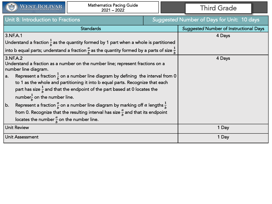

| Unit 8: Introduction to Fractions                                                                                                                                                                                                                                            |  | Suggested Number of Days for Unit: 10 days    |
|------------------------------------------------------------------------------------------------------------------------------------------------------------------------------------------------------------------------------------------------------------------------------|--|-----------------------------------------------|
| <b>Standards</b>                                                                                                                                                                                                                                                             |  | <b>Suggested Number of Instructional Days</b> |
| 3.NF.A.1                                                                                                                                                                                                                                                                     |  | 4 Days                                        |
| Understand a fraction $\frac{1}{b}$ as the quantity formed by 1 part when a whole is partitioned                                                                                                                                                                             |  |                                               |
| $\big\vert$ into b equal parts; understand a fraction $\frac{a}{b}$ as the quantity formed by a parts of size $\frac{1}{b}$                                                                                                                                                  |  |                                               |
| 3.NF.A.2<br>Understand a fraction as a number on the number line; represent fractions on a<br>number line diagram.<br>Represent a fraction $\frac{1}{b}$ on a number line diagram by defining the interval from 0<br>$ a_{\cdot} $                                           |  | 4 Days                                        |
| to 1 as the whole and partitioning it into b equal parts. Recognize that each<br>part has size $\frac{1}{b}$ and that the endpoint of the part based at 0 locates the<br>number $\frac{1}{b}$ on the number line.                                                            |  |                                               |
| <sub>b</sub>  <br>Represent a fraction $\frac{a}{b}$ on a number line diagram by marking off $a$ lengths $\frac{1}{b}$<br>from 0. Recognize that the resulting interval has size $\frac{a}{b}$ and that its endpoint<br>locates the number $\frac{a}{b}$ on the number line. |  |                                               |
| <b>Unit Review</b>                                                                                                                                                                                                                                                           |  | 1 Day                                         |
| <b>Unit Assessment</b>                                                                                                                                                                                                                                                       |  | 1 Day                                         |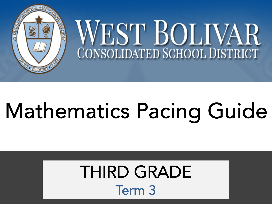

# Mathematics Pacing Guide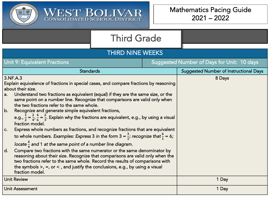

WEST BOLIVAR

| <b>THIRD NINE WEEKS</b>                                                                                                                                                                                                                                                                                                                                                                                                                                                                                                                                                                                                                                                                                                                                                                                                                             |  |  |                                               |  |
|-----------------------------------------------------------------------------------------------------------------------------------------------------------------------------------------------------------------------------------------------------------------------------------------------------------------------------------------------------------------------------------------------------------------------------------------------------------------------------------------------------------------------------------------------------------------------------------------------------------------------------------------------------------------------------------------------------------------------------------------------------------------------------------------------------------------------------------------------------|--|--|-----------------------------------------------|--|
| <b>Unit 9: Equivalent Fractions</b>                                                                                                                                                                                                                                                                                                                                                                                                                                                                                                                                                                                                                                                                                                                                                                                                                 |  |  | Suggested Number of Days for Unit: 10 days    |  |
| <b>Standards</b>                                                                                                                                                                                                                                                                                                                                                                                                                                                                                                                                                                                                                                                                                                                                                                                                                                    |  |  | <b>Suggested Number of Instructional Days</b> |  |
| 3.NF.A.3<br>Explain equivalence of fractions in special cases, and compare fractions by reasoning<br>about their size.<br>Understand two fractions as equivalent (equal) if they are the same size, or the<br>a.<br>same point on a number line. Recognize that comparisons are valid only when<br>the two fractions refer to the same whole.<br>b.<br>Recognize and generate simple equivalent fractions,<br>e.g., $\frac{1}{2} = \frac{2}{4}$ , $\frac{4}{6} = \frac{2}{3}$ . Explain why the fractions are equivalent, e.g., by using a visual<br>fraction model.<br>Express whole numbers as fractions, and recognize fractions that are equivalent<br>C.<br>to whole numbers. Examples: Express 3 in the form $3 = \frac{3}{1}$ ; recognize that $\frac{6}{1} = 6$ ;<br>locate $\frac{4}{4}$ and 1 at the same point of a number line diagram. |  |  | 8 Days                                        |  |
| d.<br>Compare two fractions with the same numerator or the same denominator by<br>reasoning about their size. Recognize that comparisons are valid only when the<br>two fractions refer to the same whole. Record the results of comparisons with<br>the symbols $>$ , =, or < , and justify the conclusions, e.g., by using a visual<br>fraction model.                                                                                                                                                                                                                                                                                                                                                                                                                                                                                            |  |  |                                               |  |
| <b>Unit Review</b>                                                                                                                                                                                                                                                                                                                                                                                                                                                                                                                                                                                                                                                                                                                                                                                                                                  |  |  | 1 Day                                         |  |

Unit Assessment **1 Day**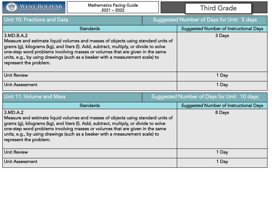| <b>Mathematics Pacing Guide</b><br>WEST BOLIVAR<br>$2021 - 2022$                                                                                                                                                                                                                                                                                                                      |  | <b>Third Grade</b>                            |
|---------------------------------------------------------------------------------------------------------------------------------------------------------------------------------------------------------------------------------------------------------------------------------------------------------------------------------------------------------------------------------------|--|-----------------------------------------------|
| Unit 10: Fractions and Data                                                                                                                                                                                                                                                                                                                                                           |  | Suggested Number of Days for Unit: 5 days     |
| <b>Standards</b>                                                                                                                                                                                                                                                                                                                                                                      |  | <b>Suggested Number of Instructional Days</b> |
| 3.MD.B.A.2<br>Measure and estimate liquid volumes and masses of objects using standard units of<br>grams (g), kilograms (kg), and liters (l). Add, subtract, multiply, or divide to solve<br>one-step word problems involving masses or volumes that are given in the same<br>units, e.g., by using drawings (such as a beaker with a measurement scale) to<br>represent the problem. |  | 3 Days                                        |
| <b>Unit Review</b>                                                                                                                                                                                                                                                                                                                                                                    |  | 1 Day                                         |
| <b>Unit Assessment</b>                                                                                                                                                                                                                                                                                                                                                                |  | 1 Day                                         |

| Unit 11: Volume and Mass                                                                                                                                                                                                                                                                                                                                                            |  | Suggested Number of Days for Unit: 10 days    |
|-------------------------------------------------------------------------------------------------------------------------------------------------------------------------------------------------------------------------------------------------------------------------------------------------------------------------------------------------------------------------------------|--|-----------------------------------------------|
| <b>Standards</b>                                                                                                                                                                                                                                                                                                                                                                    |  | <b>Suggested Number of Instructional Days</b> |
| 3.MD.A.2<br>Measure and estimate liquid volumes and masses of objects using standard units of<br>grams (g), kilograms (kg), and liters (I). Add, subtract, multiply, or divide to solve<br>one-step word problems involving masses or volumes that are given in the same<br>units, e.g., by using drawings (such as a beaker with a measurement scale) to<br>represent the problem. |  | 8 Days                                        |
| <b>Unit Review</b>                                                                                                                                                                                                                                                                                                                                                                  |  | 1 Day                                         |
| Unit Assessment                                                                                                                                                                                                                                                                                                                                                                     |  | 1 Day                                         |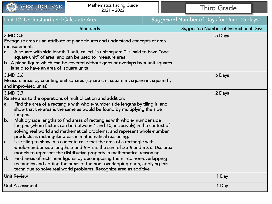

| Unit 12: Understand and Calculate Area                                                                                                                                                                                                                                                                                                                                                                                                                                                                                                                                                                                                                                                                                                                                                                                                                                                                                                                                                                                                                                          |  | Suggested Number of Days for Unit: 15 days    |
|---------------------------------------------------------------------------------------------------------------------------------------------------------------------------------------------------------------------------------------------------------------------------------------------------------------------------------------------------------------------------------------------------------------------------------------------------------------------------------------------------------------------------------------------------------------------------------------------------------------------------------------------------------------------------------------------------------------------------------------------------------------------------------------------------------------------------------------------------------------------------------------------------------------------------------------------------------------------------------------------------------------------------------------------------------------------------------|--|-----------------------------------------------|
| <b>Standards</b>                                                                                                                                                                                                                                                                                                                                                                                                                                                                                                                                                                                                                                                                                                                                                                                                                                                                                                                                                                                                                                                                |  | <b>Suggested Number of Instructional Days</b> |
| 3.MD.C.5<br>Recognize area as an attribute of plane figures and understand concepts of area<br>measurement.<br>A square with side length 1 unit, called "a unit square," is said to have "one<br>a.<br>square unit" of area, and can be used to measure area.<br>$\vert$ b. A plane figure which can be covered without gaps or overlaps by $n$ unit squares<br>is said to have an area of square units                                                                                                                                                                                                                                                                                                                                                                                                                                                                                                                                                                                                                                                                         |  | 5 Days                                        |
| 3.MD.C.6<br>Measure areas by counting unit squares (square cm, square m, square in, square ft,<br>and improvised units).                                                                                                                                                                                                                                                                                                                                                                                                                                                                                                                                                                                                                                                                                                                                                                                                                                                                                                                                                        |  | 6 Days                                        |
| 3.MD.C.7<br>Relate area to the operations of multiplication and addition.<br>Find the area of a rectangle with whole-number side lengths by tiling it, and<br>a.<br>show that the area is the same as would be found by multiplying the side<br>lengths.<br>$ b$ .<br>Multiply side lengths to find areas of rectangles with whole- number side<br>lengths (where factors can be between 1 and 10, inclusively) in the context of<br>solving real world and mathematical problems, and represent whole-number<br>products as rectangular areas in mathematical reasoning.<br>Use tiling to show in a concrete case that the area of a rectangle with<br>$ c_{\cdot} $<br>whole-number side lengths a and $b + c$ is the sum of a x b and a x c. Use area<br>models to represent the distributive property in mathematical reasoning.<br>Find areas of rectilinear figures by decomposing them into non-overlapping<br> d.<br>rectangles and adding the areas of the non- overlapping parts, applying this<br>technique to solve real world problems. Recognize area as additive |  | 2 Days                                        |
| <b>Unit Review</b>                                                                                                                                                                                                                                                                                                                                                                                                                                                                                                                                                                                                                                                                                                                                                                                                                                                                                                                                                                                                                                                              |  | 1 Day                                         |
| Unit Assessment                                                                                                                                                                                                                                                                                                                                                                                                                                                                                                                                                                                                                                                                                                                                                                                                                                                                                                                                                                                                                                                                 |  | 1 Day                                         |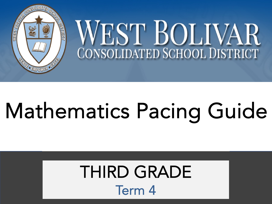

# Mathematics Pacing Guide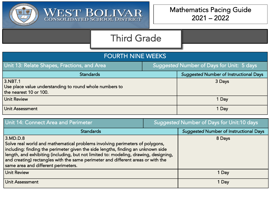

| <b>FOURTH NINE WEEKS</b>                                                                     |                                           |                                               |  |  |  |
|----------------------------------------------------------------------------------------------|-------------------------------------------|-----------------------------------------------|--|--|--|
| Unit 13: Relate Shapes, Fractions, and Area                                                  | Suggested Number of Days for Unit: 5 days |                                               |  |  |  |
| <b>Standards</b>                                                                             |                                           | <b>Suggested Number of Instructional Days</b> |  |  |  |
| 3.NBT.1<br>Use place value understanding to round whole numbers to<br>the nearest 10 or 100. |                                           | 3 Days                                        |  |  |  |
| <b>Unit Review</b>                                                                           |                                           | 1 Day                                         |  |  |  |
| <b>Unit Assessment</b>                                                                       |                                           | 1 Day                                         |  |  |  |

| Unit 14: Connect Area and Perimeter                                                                                                                                                                                                                                                                                                                                                             | Suggested Number of Days for Unit:10 days |                                               |
|-------------------------------------------------------------------------------------------------------------------------------------------------------------------------------------------------------------------------------------------------------------------------------------------------------------------------------------------------------------------------------------------------|-------------------------------------------|-----------------------------------------------|
| <b>Standards</b>                                                                                                                                                                                                                                                                                                                                                                                |                                           | <b>Suggested Number of Instructional Days</b> |
| 3.MD.D.8<br>Solve real world and mathematical problems involving perimeters of polygons,<br>including: finding the perimeter given the side lengths, finding an unknown side<br>length, and exhibiting (including, but not limited to: modeling, drawing, designing,<br>and creating) rectangles with the same perimeter and different areas or with the<br>same area and different perimeters. |                                           | 8 Days                                        |
| <b>Unit Review</b>                                                                                                                                                                                                                                                                                                                                                                              |                                           | 1 Day                                         |
| Unit Assessment                                                                                                                                                                                                                                                                                                                                                                                 |                                           | 1 Day                                         |